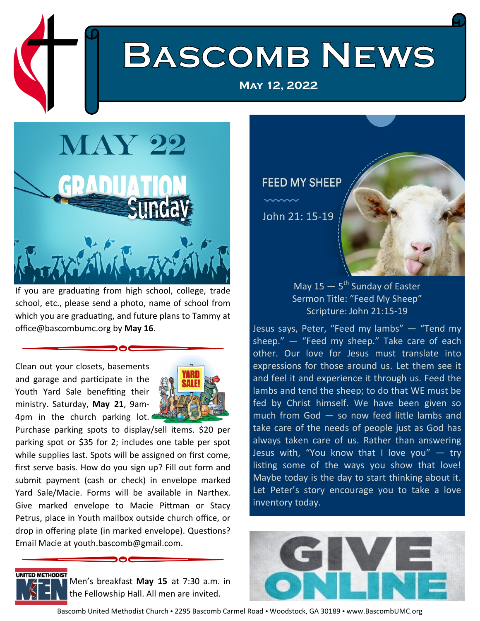# **BASCOMB NEWS**

**May 12, 2022**



If you are graduating from high school, college, trade school, etc., please send a photo, name of school from which you are graduating, and future plans to Tammy at office@bascombumc.org by **May 16**.

Clean out your closets, basements and garage and participate in the Youth Yard Sale benefiting their ministry. Saturday, **May 21**, 9am-4pm in the church parking lot.



Purchase parking spots to display/sell items. \$20 per parking spot or \$35 for 2; includes one table per spot while supplies last. Spots will be assigned on first come, first serve basis. How do you sign up? Fill out form and submit payment (cash or check) in envelope marked Yard Sale/Macie. Forms will be available in Narthex. Give marked envelope to Macie Pittman or Stacy Petrus, place in Youth mailbox outside church office, or drop in offering plate (in marked envelope). Questions? Email Macie at youth.bascomb@gmail.com.



Men's breakfast **May 15** at 7:30 a.m. in the Fellowship Hall. All men are invited.

### **FEED MY SHEEP**

John 21: 15-19



### May 15 – 5<sup>th</sup> Sunday of Easter Sermon Title: "Feed My Sheep" Scripture: John 21:15-19

Jesus says, Peter, "Feed my lambs" — "Tend my sheep." — "Feed my sheep." Take care of each other. Our love for Jesus must translate into expressions for those around us. Let them see it and feel it and experience it through us. Feed the lambs and tend the sheep; to do that WE must be fed by Christ himself. We have been given so much from God — so now feed little lambs and take care of the needs of people just as God has always taken care of us. Rather than answering Jesus with, "You know that I love you"  $-$  try listing some of the ways you show that love! Maybe today is the day to start thinking about it. Let Peter's story encourage you to take a love inventory today.